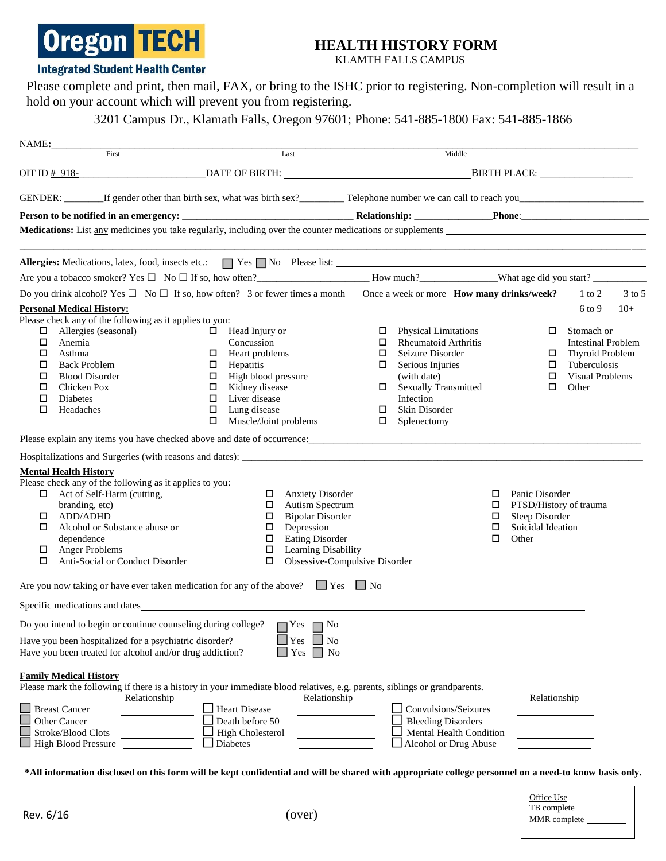# **Oregon TECH**

## **HEALTH HISTORY FORM**

KLAMTH FALLS CAMPUS

#### **Integrated Student Health Center**

Please complete and print, then mail, FAX, or bring to the ISHC prior to registering. Non-completion will result in a hold on your account which will prevent you from registering.

3201 Campus Dr., Klamath Falls, Oregon 97601; Phone: 541-885-1800 Fax: 541-885-1866

|             | NAME:                                                                                                              |                                                                                                                                                       |                                                                  |                             |                                                                                           |  |  |  |  |  |  |
|-------------|--------------------------------------------------------------------------------------------------------------------|-------------------------------------------------------------------------------------------------------------------------------------------------------|------------------------------------------------------------------|-----------------------------|-------------------------------------------------------------------------------------------|--|--|--|--|--|--|
|             | First                                                                                                              | Last                                                                                                                                                  | Middle                                                           |                             |                                                                                           |  |  |  |  |  |  |
|             |                                                                                                                    | OIT ID $\#$ 918-<br>$DATE$ OF BIRTH:                                                                                                                  | BIRTH PLACE: _________________                                   |                             |                                                                                           |  |  |  |  |  |  |
|             |                                                                                                                    |                                                                                                                                                       |                                                                  |                             |                                                                                           |  |  |  |  |  |  |
|             |                                                                                                                    |                                                                                                                                                       |                                                                  |                             |                                                                                           |  |  |  |  |  |  |
|             |                                                                                                                    | Medications: List any medicines you take regularly, including over the counter medications or supplements                                             |                                                                  |                             |                                                                                           |  |  |  |  |  |  |
|             |                                                                                                                    |                                                                                                                                                       |                                                                  |                             | the control of the control of the control of the control of the control of the control of |  |  |  |  |  |  |
|             |                                                                                                                    | <b>Allergies:</b> Medications, latex, food, insects etc.: $\Box$ Yes $\Box$ No Please list:                                                           |                                                                  |                             |                                                                                           |  |  |  |  |  |  |
|             |                                                                                                                    | Are you a tobacco smoker? Yes $\Box$ No $\Box$ If so, how often?<br>Are you a tobacco smoker? Yes $\Box$ No $\Box$ If so, how often?<br>Are you much? |                                                                  |                             |                                                                                           |  |  |  |  |  |  |
|             |                                                                                                                    | Do you drink alcohol? Yes $\Box$ No $\Box$ If so, how often? 3 or fewer times a month Once a week or more <b>How many drinks/week?</b>                |                                                                  |                             | $1$ to $2$<br>3 to 5                                                                      |  |  |  |  |  |  |
|             | <b>Personal Medical History:</b>                                                                                   |                                                                                                                                                       |                                                                  |                             | $6$ to 9<br>$10+$                                                                         |  |  |  |  |  |  |
|             | Please check any of the following as it applies to you:                                                            |                                                                                                                                                       |                                                                  |                             |                                                                                           |  |  |  |  |  |  |
| $\Box$<br>0 | Allergies (seasonal)<br>Anemia                                                                                     | $\Box$ Head Injury or<br>Concussion                                                                                                                   | <b>Physical Limitations</b><br>О.<br>$\Box$ Rheumatoid Arthritis | □                           | Stomach or<br><b>Intestinal Problem</b>                                                   |  |  |  |  |  |  |
| □           | Asthma                                                                                                             | Heart problems<br>0                                                                                                                                   | □<br>Seizure Disorder                                            |                             | <b>Thyroid Problem</b>                                                                    |  |  |  |  |  |  |
| □           | <b>Back Problem</b>                                                                                                | Hepatitis<br>$\Box$                                                                                                                                   | Serious Injuries<br>0                                            | □                           | Tuberculosis                                                                              |  |  |  |  |  |  |
| □           | <b>Blood Disorder</b>                                                                                              | High blood pressure<br>$\Box$                                                                                                                         | (with date)                                                      | □                           | <b>Visual Problems</b>                                                                    |  |  |  |  |  |  |
| □           | Chicken Pox                                                                                                        | Kidney disease<br>$\Box$                                                                                                                              | □ Sexually Transmitted                                           | □                           | Other                                                                                     |  |  |  |  |  |  |
| □           | Diabetes                                                                                                           | $\Box$<br>Liver disease                                                                                                                               | Infection                                                        |                             |                                                                                           |  |  |  |  |  |  |
| □           | Headaches                                                                                                          | Lung disease<br>$\Box$<br>Muscle/Joint problems<br>$\Box$                                                                                             | Skin Disorder<br>□<br>Splenectomy<br>$\Box$                      |                             |                                                                                           |  |  |  |  |  |  |
|             |                                                                                                                    |                                                                                                                                                       |                                                                  |                             |                                                                                           |  |  |  |  |  |  |
|             |                                                                                                                    |                                                                                                                                                       |                                                                  |                             |                                                                                           |  |  |  |  |  |  |
|             |                                                                                                                    |                                                                                                                                                       |                                                                  |                             |                                                                                           |  |  |  |  |  |  |
|             | <b>Mental Health History</b><br>Please check any of the following as it applies to you:                            |                                                                                                                                                       |                                                                  |                             |                                                                                           |  |  |  |  |  |  |
|             | Act of Self-Harm (cutting,                                                                                         | <b>Anxiety Disorder</b><br>$\Box$                                                                                                                     |                                                                  | Panic Disorder<br>□         |                                                                                           |  |  |  |  |  |  |
|             | branding, etc)                                                                                                     | Autism Spectrum<br>$\Box$                                                                                                                             |                                                                  | PTSD/History of trauma<br>□ |                                                                                           |  |  |  |  |  |  |
| □           | ADD/ADHD                                                                                                           | <b>Bipolar Disorder</b><br>$\Box$                                                                                                                     |                                                                  | Sleep Disorder<br>$\Box$    |                                                                                           |  |  |  |  |  |  |
| □           | Alcohol or Substance abuse or                                                                                      | Depression<br>$\Box$                                                                                                                                  |                                                                  | Suicidal Ideation<br>$\Box$ |                                                                                           |  |  |  |  |  |  |
| $\Box$      | dependence<br><b>Anger Problems</b>                                                                                | <b>Eating Disorder</b><br>$\Box$<br>Learning Disability<br>$\Box$                                                                                     |                                                                  | Other<br>□                  |                                                                                           |  |  |  |  |  |  |
| □           | Anti-Social or Conduct Disorder                                                                                    | $\Box$                                                                                                                                                | Obsessive-Compulsive Disorder                                    |                             |                                                                                           |  |  |  |  |  |  |
|             |                                                                                                                    | Are you now taking or have ever taken medication for any of the above? $\Box$ Yes $\Box$ No                                                           |                                                                  |                             |                                                                                           |  |  |  |  |  |  |
|             |                                                                                                                    | Specific medications and dates                                                                                                                        |                                                                  |                             |                                                                                           |  |  |  |  |  |  |
|             |                                                                                                                    | $\mathbf{r}$                                                                                                                                          |                                                                  |                             |                                                                                           |  |  |  |  |  |  |
|             |                                                                                                                    | Do you intend to begin or continue counseling during college? $\Box$ Yes<br>N <sub>0</sub>                                                            |                                                                  |                             |                                                                                           |  |  |  |  |  |  |
|             | Have you been hospitalized for a psychiatric disorder?<br>Have you been treated for alcohol and/or drug addiction? | Yes<br>N <sub>o</sub><br>Yes<br>No                                                                                                                    |                                                                  |                             |                                                                                           |  |  |  |  |  |  |
|             |                                                                                                                    |                                                                                                                                                       |                                                                  |                             |                                                                                           |  |  |  |  |  |  |
|             | <b>Family Medical History</b>                                                                                      |                                                                                                                                                       |                                                                  |                             |                                                                                           |  |  |  |  |  |  |
|             | Relationship                                                                                                       | Please mark the following if there is a history in your immediate blood relatives, e.g. parents, siblings or grandparents.<br>Relationship            |                                                                  | Relationship                |                                                                                           |  |  |  |  |  |  |
|             | <b>Breast Cancer</b>                                                                                               | <b>Heart Disease</b>                                                                                                                                  | Convulsions/Seizures                                             |                             |                                                                                           |  |  |  |  |  |  |
|             | Other Cancer                                                                                                       | Death before 50                                                                                                                                       | <b>Bleeding Disorders</b>                                        |                             |                                                                                           |  |  |  |  |  |  |
|             | Stroke/Blood Clots                                                                                                 | <b>High Cholesterol</b>                                                                                                                               | Mental Health Condition                                          |                             |                                                                                           |  |  |  |  |  |  |
|             | <b>High Blood Pressure</b>                                                                                         | Diabetes                                                                                                                                              | Alcohol or Drug Abuse                                            |                             |                                                                                           |  |  |  |  |  |  |

\*All information disclosed on this form will be kept confidential and will be shared with appropriate college personnel on a need-to know basis only.

| Office Use<br>TB complete |  |
|---------------------------|--|
| MMR complete              |  |
|                           |  |